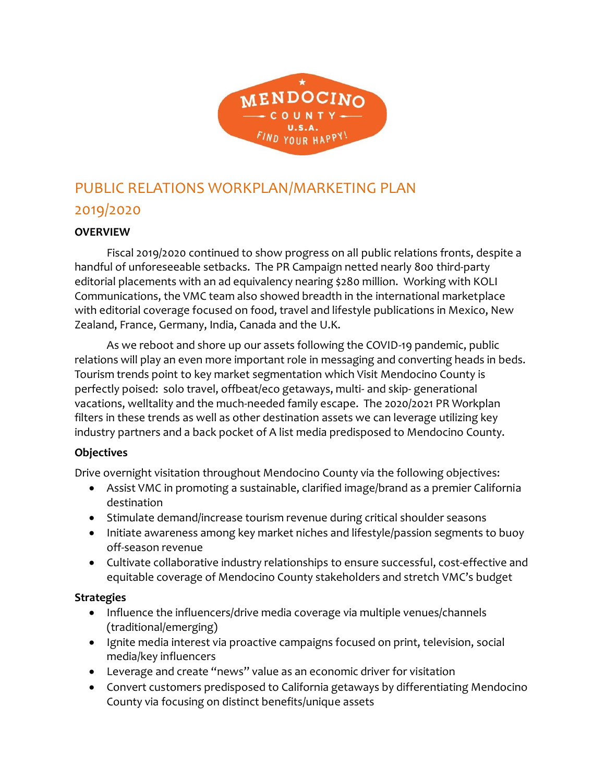

# PUBLIC RELATIONS WORKPLAN/MARKETING PLAN 2019/2020

#### **OVERVIEW**

Fiscal 2019/2020 continued to show progress on all public relations fronts, despite a handful of unforeseeable setbacks. The PR Campaign netted nearly 800 third-party editorial placements with an ad equivalency nearing \$280 million. Working with KOLI Communications, the VMC team also showed breadth in the international marketplace with editorial coverage focused on food, travel and lifestyle publications in Mexico, New Zealand, France, Germany, India, Canada and the U.K.

As we reboot and shore up our assets following the COVID-19 pandemic, public relations will play an even more important role in messaging and converting heads in beds. Tourism trends point to key market segmentation which Visit Mendocino County is perfectly poised: solo travel, offbeat/eco getaways, multi- and skip- generational vacations, welltality and the much-needed family escape. The 2020/2021 PR Workplan filters in these trends as well as other destination assets we can leverage utilizing key industry partners and a back pocket of A list media predisposed to Mendocino County.

#### **Objectives**

Drive overnight visitation throughout Mendocino County via the following objectives:

- Assist VMC in promoting a sustainable, clarified image/brand as a premier California destination
- Stimulate demand/increase tourism revenue during critical shoulder seasons
- Initiate awareness among key market niches and lifestyle/passion segments to buoy off-season revenue
- Cultivate collaborative industry relationships to ensure successful, cost-effective and equitable coverage of Mendocino County stakeholders and stretch VMC's budget

#### **Strategies**

- Influence the influencers/drive media coverage via multiple venues/channels (traditional/emerging)
- Ignite media interest via proactive campaigns focused on print, television, social media/key influencers
- Leverage and create "news" value as an economic driver for visitation
- Convert customers predisposed to California getaways by differentiating Mendocino County via focusing on distinct benefits/unique assets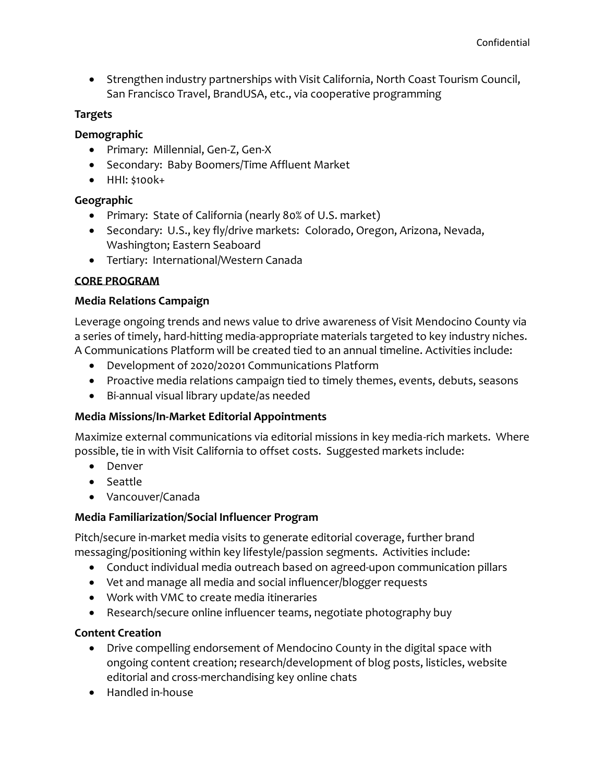• Strengthen industry partnerships with Visit California, North Coast Tourism Council, San Francisco Travel, BrandUSA, etc., via cooperative programming

#### **Targets**

#### **Demographic**

- Primary: Millennial, Gen-Z, Gen-X
- Secondary: Baby Boomers/Time Affluent Market
- HHI: \$100k+

# **Geographic**

- Primary: State of California (nearly 80% of U.S. market)
- Secondary: U.S., key fly/drive markets: Colorado, Oregon, Arizona, Nevada, Washington; Eastern Seaboard
- Tertiary: International/Western Canada

# **CORE PROGRAM**

# **Media Relations Campaign**

Leverage ongoing trends and news value to drive awareness of Visit Mendocino County via a series of timely, hard-hitting media-appropriate materials targeted to key industry niches. A Communications Platform will be created tied to an annual timeline. Activities include:

- Development of 2020/20201 Communications Platform
- Proactive media relations campaign tied to timely themes, events, debuts, seasons
- Bi-annual visual library update/as needed

# **Media Missions/In-Market Editorial Appointments**

Maximize external communications via editorial missions in key media-rich markets. Where possible, tie in with Visit California to offset costs. Suggested markets include:

- Denver
- Seattle
- Vancouver/Canada

# **Media Familiarization/Social Influencer Program**

Pitch/secure in-market media visits to generate editorial coverage, further brand messaging/positioning within key lifestyle/passion segments. Activities include:

- Conduct individual media outreach based on agreed-upon communication pillars
- Vet and manage all media and social influencer/blogger requests
- Work with VMC to create media itineraries
- Research/secure online influencer teams, negotiate photography buy

# **Content Creation**

- Drive compelling endorsement of Mendocino County in the digital space with ongoing content creation; research/development of blog posts, listicles, website editorial and cross-merchandising key online chats
- Handled in-house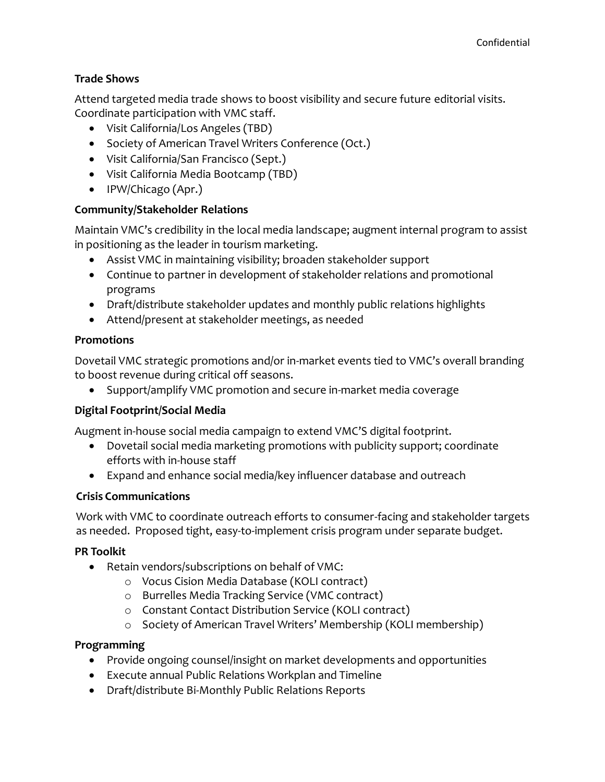#### **Trade Shows**

Attend targeted media trade shows to boost visibility and secure future editorial visits. Coordinate participation with VMC staff.

- Visit California/Los Angeles (TBD)
- Society of American Travel Writers Conference (Oct.)
- Visit California/San Francisco (Sept.)
- Visit California Media Bootcamp (TBD)
- IPW/Chicago (Apr.)

# **Community/Stakeholder Relations**

Maintain VMC's credibility in the local media landscape; augment internal program to assist in positioning as the leader in tourism marketing.

- Assist VMC in maintaining visibility; broaden stakeholder support
- Continue to partner in development of stakeholder relations and promotional programs
- Draft/distribute stakeholder updates and monthly public relations highlights
- Attend/present at stakeholder meetings, as needed

# **Promotions**

Dovetail VMC strategic promotions and/or in-market events tied to VMC's overall branding to boost revenue during critical off seasons.

• Support/amplify VMC promotion and secure in-market media coverage

# **Digital Footprint/Social Media**

Augment in-house social media campaign to extend VMC'S digital footprint.

- Dovetail social media marketing promotions with publicity support; coordinate efforts with in-house staff
- Expand and enhance social media/key influencer database and outreach

# **Crisis Communications**

Work with VMC to coordinate outreach efforts to consumer-facing and stakeholder targets as needed. Proposed tight, easy-to-implement crisis program under separate budget.

# **PR Toolkit**

- Retain vendors/subscriptions on behalf of VMC:
	- o Vocus Cision Media Database (KOLI contract)
	- o Burrelles Media Tracking Service (VMC contract)
	- o Constant Contact Distribution Service (KOLI contract)
	- o Society of American Travel Writers' Membership (KOLI membership)

#### **Programming**

- Provide ongoing counsel/insight on market developments and opportunities
- Execute annual Public Relations Workplan and Timeline
- Draft/distribute Bi-Monthly Public Relations Reports